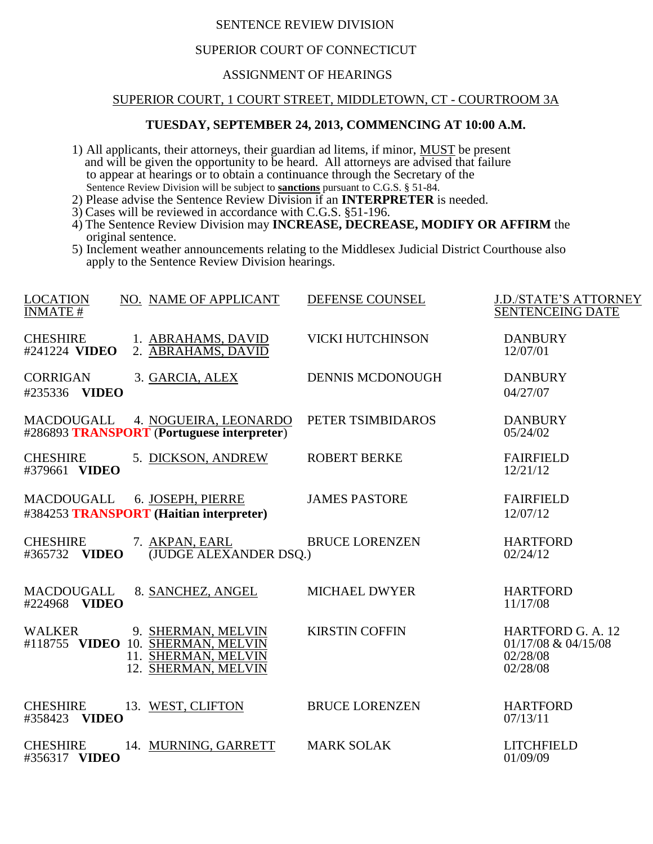# SENTENCE REVIEW DIVISION

# SUPERIOR COURT OF CONNECTICUT

### ASSIGNMENT OF HEARINGS

### SUPERIOR COURT, 1 COURT STREET, MIDDLETOWN, CT - COURTROOM 3A

#### **TUESDAY, SEPTEMBER 24, 2013, COMMENCING AT 10:00 A.M.**

- 1) All applicants, their attorneys, their guardian ad litems, if minor, MUST be present and will be given the opportunity to be heard. All attorneys are advised that failure to appear at hearings or to obtain a continuance through the Secretary of the Sentence Review Division will be subject to **sanctions** pursuant to C.G.S. § 51-84.
- 2) Please advise the Sentence Review Division if an **INTERPRETER** is needed.
- 3) Cases will be reviewed in accordance with C.G.S. §51-196.
- 4) The Sentence Review Division may **INCREASE, DECREASE, MODIFY OR AFFIRM** the original sentence.
- 5) Inclement weather announcements relating to the Middlesex Judicial District Courthouse also apply to the Sentence Review Division hearings.

| <b>LOCATION</b><br><b>INMATE#</b>          | NO. NAME OF APPLICANT                                                                                 | DEFENSE COUNSEL         | <b>J.D./STATE'S ATTORNEY</b><br><b>SENTENCEING DATE</b>             |
|--------------------------------------------|-------------------------------------------------------------------------------------------------------|-------------------------|---------------------------------------------------------------------|
| <b>CHESHIRE</b><br>#241224 VIDEO           | 1. ABRAHAMS, DAVID<br>2. ABRAHAMS, DAVID                                                              | <b>VICKI HUTCHINSON</b> | <b>DANBURY</b><br>12/07/01                                          |
| <b>CORRIGAN</b><br>#235336 VIDEO           | 3. GARCIA, ALEX                                                                                       | <b>DENNIS MCDONOUGH</b> | <b>DANBURY</b><br>04/27/07                                          |
| <b>MACDOUGALL</b>                          | 4. NOGUEIRA, LEONARDO<br>#286893 TRANSPORT (Portuguese interpreter)                                   | PETER TSIMBIDAROS       | <b>DANBURY</b><br>05/24/02                                          |
| <b>CHESHIRE</b><br>#379661 VIDEO           | 5. DICKSON, ANDREW                                                                                    | <b>ROBERT BERKE</b>     | <b>FAIRFIELD</b><br>12/21/12                                        |
| <b>MACDOUGALL</b>                          | 6. JOSEPH, PIERRE<br>#384253 TRANSPORT (Haitian interpreter)                                          | <b>JAMES PASTORE</b>    | <b>FAIRFIELD</b><br>12/07/12                                        |
| <b>CHESHIRE</b><br>#365732 VIDEO           | 7. AKPAN, EARL<br>(JUDGE ALEXANDER DSQ.)                                                              | <b>BRUCE LORENZEN</b>   | <b>HARTFORD</b><br>02/24/12                                         |
| <b>MACDOUGALL</b><br>#224968 VIDEO         | 8. SANCHEZ, ANGEL                                                                                     | <b>MICHAEL DWYER</b>    | <b>HARTFORD</b><br>11/17/08                                         |
| <b>WALKER</b>                              | 9. SHERMAN, MELVIN<br>#118755 VIDEO 10. SHERMAN, MELVIN<br>11. SHERMAN, MELVIN<br>12. SHERMAN, MELVIN | <b>KIRSTIN COFFIN</b>   | HARTFORD G. A. 12<br>$01/17/08 \& 04/15/08$<br>02/28/08<br>02/28/08 |
| <b>CHESHIRE</b><br>#358423<br><b>VIDEO</b> | 13. WEST, CLIFTON                                                                                     | <b>BRUCE LORENZEN</b>   | <b>HARTFORD</b><br>07/13/11                                         |
| <b>CHESHIRE</b><br>#356317 VIDEO           | 14. MURNING, GARRETT                                                                                  | <b>MARK SOLAK</b>       | <b>LITCHFIELD</b><br>01/09/09                                       |